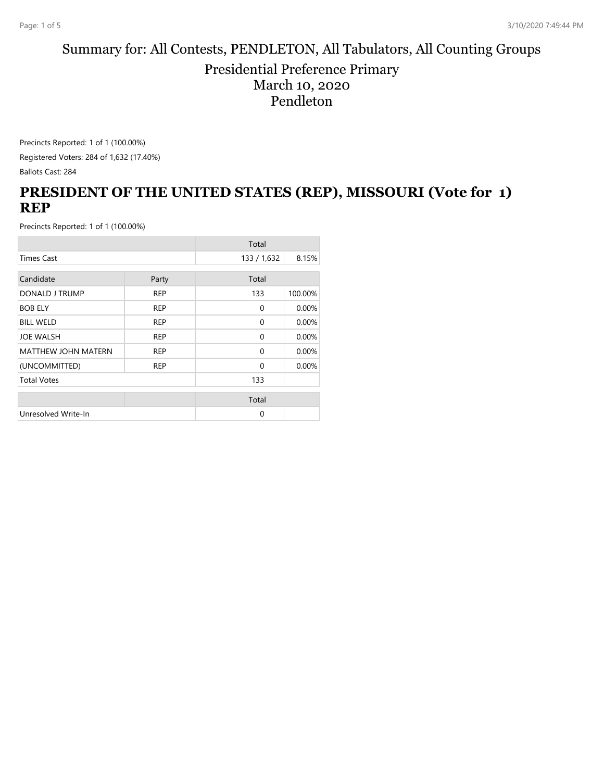#### Summary for: All Contests, PENDLETON, All Tabulators, All Counting Groups Presidential Preference Primary March 10, 2020 Pendleton

Precincts Reported: 1 of 1 (100.00%)

Registered Voters: 284 of 1,632 (17.40%) Ballots Cast: 284

# **PRESIDENT OF THE UNITED STATES (REP), MISSOURI (Vote for 1) REP**

|                            |            | Total       |         |
|----------------------------|------------|-------------|---------|
| <b>Times Cast</b>          |            | 133 / 1,632 | 8.15%   |
| Candidate                  | Party      | Total       |         |
| DONALD J TRUMP             | <b>REP</b> | 133         | 100.00% |
| <b>BOB ELY</b>             | <b>REP</b> | 0           | 0.00%   |
| <b>BILL WELD</b>           | <b>REP</b> | 0           | 0.00%   |
| JOE WALSH                  | <b>REP</b> | 0           | 0.00%   |
| <b>MATTHEW JOHN MATERN</b> | <b>REP</b> | $\Omega$    | 0.00%   |
| (UNCOMMITTED)              | <b>REP</b> | $\Omega$    | 0.00%   |
| <b>Total Votes</b>         |            | 133         |         |
|                            |            | Total       |         |
| Unresolved Write-In        |            | $\Omega$    |         |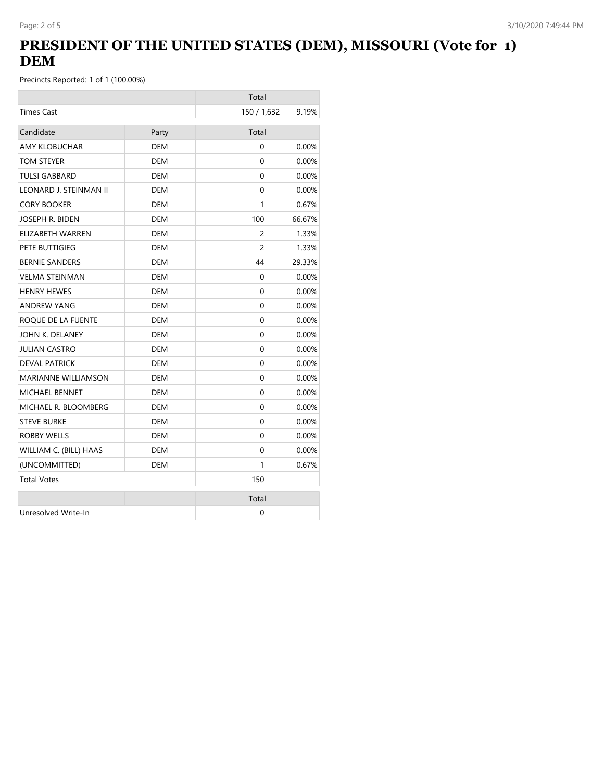# **PRESIDENT OF THE UNITED STATES (DEM), MISSOURI (Vote for 1) DEM**

|                            |            | Total          |          |
|----------------------------|------------|----------------|----------|
| <b>Times Cast</b>          |            | 150 / 1,632    | 9.19%    |
| Candidate                  | Party      | Total          |          |
| <b>AMY KLOBUCHAR</b>       | <b>DEM</b> | $\Omega$       | 0.00%    |
| TOM STEYER                 | <b>DEM</b> | 0              | 0.00%    |
| <b>TULSI GABBARD</b>       | DEM        | $\Omega$       | $0.00\%$ |
| LEONARD J. STEINMAN II     | DEM        | 0              | $0.00\%$ |
| <b>CORY BOOKER</b>         | <b>DEM</b> | 1              | 0.67%    |
| JOSEPH R. BIDEN            | <b>DEM</b> | 100            | 66.67%   |
| ELIZABETH WARREN           | <b>DEM</b> | $\overline{c}$ | 1.33%    |
| PETE BUTTIGIEG             | DEM        | 2              | 1.33%    |
| <b>BERNIE SANDERS</b>      | DEM        | 44             | 29.33%   |
| <b>VELMA STEINMAN</b>      | <b>DEM</b> | 0              | 0.00%    |
| <b>HENRY HEWES</b>         | <b>DEM</b> | $\Omega$       | $0.00\%$ |
| <b>ANDREW YANG</b>         | <b>DEM</b> | 0              | 0.00%    |
| ROQUE DE LA FUENTE         | DEM        | 0              | $0.00\%$ |
| JOHN K. DELANEY            | <b>DEM</b> | $\Omega$       | 0.00%    |
| <b>JULIAN CASTRO</b>       | DEM        | 0              | $0.00\%$ |
| <b>DEVAL PATRICK</b>       | <b>DEM</b> | $\Omega$       | 0.00%    |
| <b>MARIANNE WILLIAMSON</b> | <b>DEM</b> | 0              | 0.00%    |
| <b>MICHAEL BENNET</b>      | DEM        | $\Omega$       | $0.00\%$ |
| MICHAEL R. BLOOMBERG       | DEM        | $\Omega$       | $0.00\%$ |
| <b>STEVE BURKE</b>         | <b>DEM</b> | 0              | $0.00\%$ |
| <b>ROBBY WELLS</b>         | DEM        | $\Omega$       | $0.00\%$ |
| WILLIAM C. (BILL) HAAS     | <b>DEM</b> | 0              | $0.00\%$ |
| (UNCOMMITTED)              | <b>DEM</b> | 1              | 0.67%    |
| <b>Total Votes</b>         |            | 150            |          |
|                            |            | Total          |          |
| Unresolved Write-In        |            | 0              |          |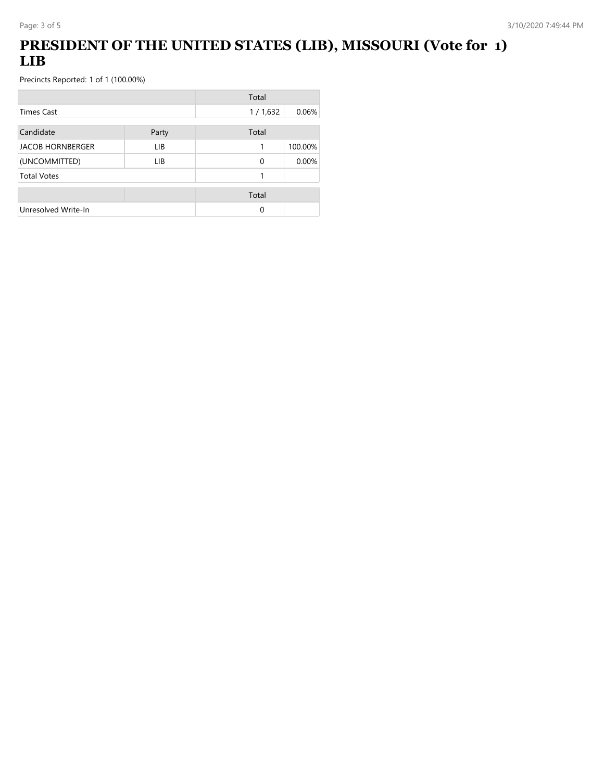# **PRESIDENT OF THE UNITED STATES (LIB), MISSOURI (Vote for 1) LIB**

|                         |       | Total    |         |
|-------------------------|-------|----------|---------|
| Times Cast              |       | 1/1,632  | 0.06%   |
| Candidate               | Party | Total    |         |
| <b>JACOB HORNBERGER</b> | LIB.  | 1        | 100.00% |
| (UNCOMMITTED)           | LIB.  | $\Omega$ | 0.00%   |
| <b>Total Votes</b>      |       | 1        |         |
|                         |       | Total    |         |
| Unresolved Write-In     |       | 0        |         |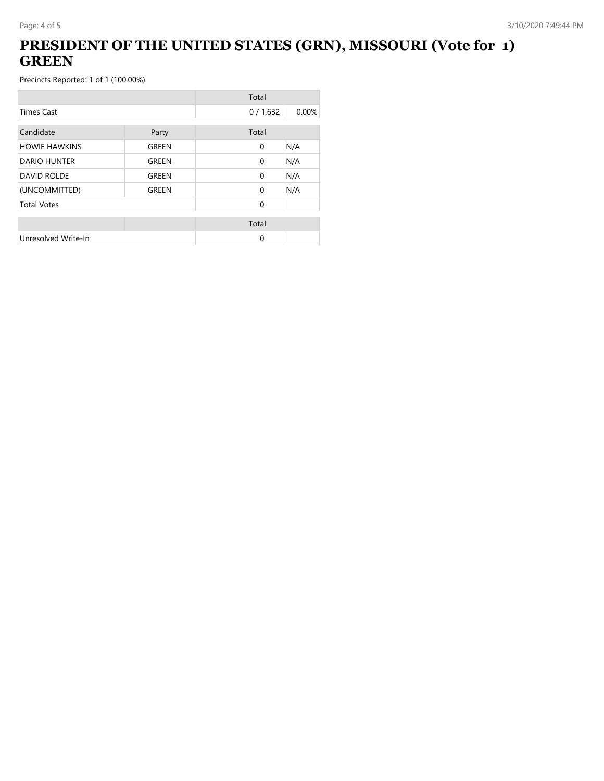## **PRESIDENT OF THE UNITED STATES (GRN), MISSOURI (Vote for 1) GREEN**

|                      |              | Total        |       |
|----------------------|--------------|--------------|-------|
| <b>Times Cast</b>    |              | 0/1,632      | 0.00% |
| Candidate            | Party        | Total        |       |
| <b>HOWIE HAWKINS</b> | GREEN        | $\mathbf{0}$ | N/A   |
| <b>DARIO HUNTER</b>  | <b>GREEN</b> | $\mathbf{0}$ | N/A   |
| <b>DAVID ROLDE</b>   | GREEN        | $\Omega$     | N/A   |
| (UNCOMMITTED)        | GREEN        | $\Omega$     | N/A   |
| <b>Total Votes</b>   |              | $\Omega$     |       |
|                      |              | Total        |       |
| Unresolved Write-In  |              | $\Omega$     |       |